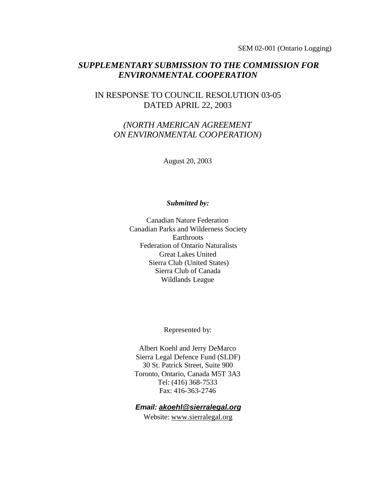SEM 02-001 (Ontario Logging)

### *SUPPLEMENTARY SUBMISSION TO THE COMMISSION FOR ENVIRONMENTAL COOPERATION*

### IN RESPONSE TO COUNCIL RESOLUTION 03-05 DATED APRIL 22, 2003

### *(NORTH AMERICAN AGREEMENT ON ENVIRONMENTAL COOPERATION)*

August 20, 2003

#### *Submitted by:*

Canadian Nature Federation Canadian Parks and Wilderness Society **Earthroots**  Federation of Ontario Naturalists Great Lakes United Sierra Club (United States) Sierra Club of Canada Wildlands League

Represented by:

Albert Koehl and Jerry DeMarco Sierra Legal Defence Fund (SLDF) 30 St. Patrick Street, Suite 900 Toronto, Ontario, Canada M5T 3A3 Tel: (416) 368-7533 Fax: 416-363-2746

#### *Email: akoehl@sierralegal.org*

Website: www.sierralegal.org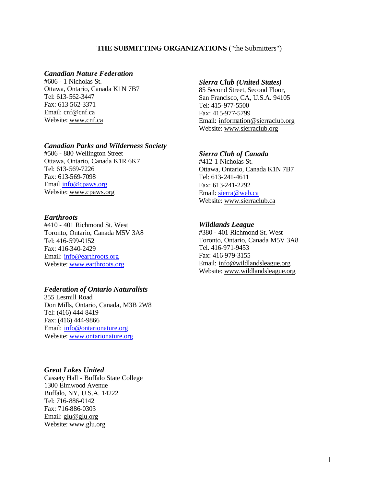#### **THE SUBMITTING ORGANIZATIONS** ("the Submitters")

#### *Canadian Nature Federation*

#606 - 1 Nicholas St. Ottawa, Ontario, Canada K1N 7B7 Tel: 613-562-3447 Fax: 613-562-3371 Email: cnf@cnf.ca Website: www.cnf.ca

#### *Canadian Parks and Wilderness Society*

#506 - 880 Wellington Street Ottawa, Ontario, Canada K1R 6K7 Tel: 613-569-7226 Fax: 613-569-7098 Email info@cpaws.org Website: www.cpaws.org

#### *Earthroots*

#410 - 401 Richmond St. West Toronto, Ontario, Canada M5V 3A8 Tel: 416-599-0152 Fax: 416-340-2429 Email: info@earthroots.org Website: www.earthroots.org

#### *Federation of Ontario Naturalists*

355 Lesmill Road Don Mills, Ontario, Canada, M3B 2W8 Tel: (416) 444-8419 Fax: (416) 444-9866 Email: info@ontarionature.org Website: www.ontarionature.org

#### *Great Lakes United*

Cassety Hall - Buffalo State College 1300 Elmwood Avenue Buffalo, NY, U.S.A. 14222 Tel: 716-886-0142 Fax: 716-886-0303 Email: glu@glu.org Website: www.glu.org

#### *Sierra Club (United States)*

85 Second Street, Second Floor, San Francisco, CA, U.S.A. 94105 Tel: 415-977-5500 Fax: 415-977-5799 Email: information@sierraclub.org Website: www.sierraclub.org

#### *Sierra Club of Canada*

#412-1 Nicholas St. Ottawa, Ontario, Canada K1N 7B7 Tel: 613-241-4611 Fax: 613-241-2292 Email: sierra@web.ca Website: www.sierraclub.ca

#### *Wildlands League*

#380 - 401 Richmond St. West Toronto, Ontario, Canada M5V 3A8 Tel. 416-971-9453 Fax: 416-979-3155 Email: info@wildlandsleague.org Website: www.wildlandsleague.org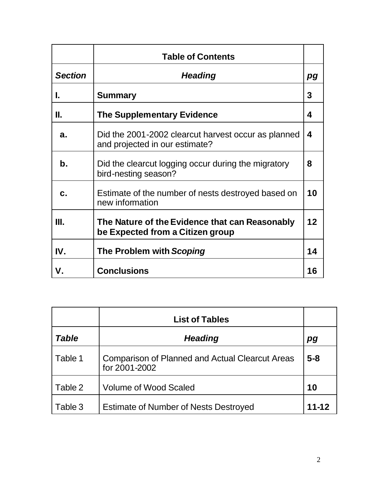|                | <b>Table of Contents</b>                                                              |    |
|----------------|---------------------------------------------------------------------------------------|----|
| <b>Section</b> | <b>Heading</b>                                                                        | pg |
| L              | <b>Summary</b>                                                                        | 3  |
| Ш.             | <b>The Supplementary Evidence</b>                                                     | 4  |
| a.             | Did the 2001-2002 clearcut harvest occur as planned<br>and projected in our estimate? | 4  |
| $\mathbf b$ .  | Did the clearcut logging occur during the migratory<br>bird-nesting season?           | 8  |
| C.             | Estimate of the number of nests destroyed based on<br>new information                 | 10 |
| Ш.             | The Nature of the Evidence that can Reasonably<br>be Expected from a Citizen group    | 12 |
| IV.            | The Problem with Scoping                                                              | 14 |
| V.             | <b>Conclusions</b>                                                                    | 16 |

|         | <b>List of Tables</b>                                                   |           |
|---------|-------------------------------------------------------------------------|-----------|
| Table   | <b>Heading</b>                                                          | pg        |
| Table 1 | <b>Comparison of Planned and Actual Clearcut Areas</b><br>for 2001-2002 | $5 - 8$   |
| Table 2 | <b>Volume of Wood Scaled</b>                                            | 10        |
| Table 3 | <b>Estimate of Number of Nests Destroyed</b>                            | $11 - 12$ |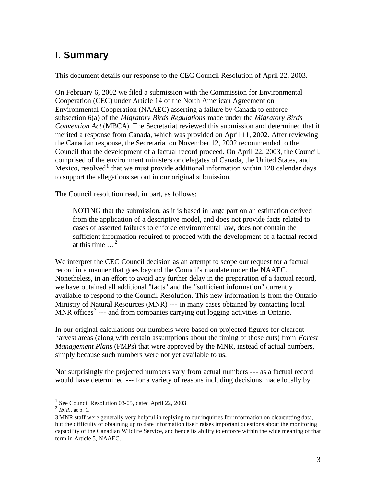# **I. Summary**

This document details our response to the CEC Council Resolution of April 22, 2003.

On February 6, 2002 we filed a submission with the Commission for Environmental Cooperation (CEC) under Article 14 of the North American Agreement on Environmental Cooperation (NAAEC) asserting a failure by Canada to enforce subsection 6(a) of the *Migratory Birds Regulations* made under the *Migratory Birds Convention Act* (MBCA). The Secretariat reviewed this submission and determined that it merited a response from Canada, which was provided on April 11, 2002. After reviewing the Canadian response, the Secretariat on November 12, 2002 recommended to the Council that the development of a factual record proceed. On April 22, 2003, the Council, comprised of the environment ministers or delegates of Canada, the United States, and Mexico, resolved<sup>1</sup> that we must provide additional information within 120 calendar days to support the allegations set out in our original submission.

The Council resolution read, in part, as follows:

NOTING that the submission, as it is based in large part on an estimation derived from the application of a descriptive model, and does not provide facts related to cases of asserted failures to enforce environmental law, does not contain the sufficient information required to proceed with the development of a factual record at this time  $\ldots^2$ 

We interpret the CEC Council decision as an attempt to scope our request for a factual record in a manner that goes beyond the Council's mandate under the NAAEC. Nonetheless, in an effort to avoid any further delay in the preparation of a factual record, we have obtained all additional "facts" and the "sufficient information" currently available to respond to the Council Resolution. This new information is from the Ontario Ministry of Natural Resources (MNR) --- in many cases obtained by contacting local MNR offices<sup>3</sup> --- and from companies carrying out logging activities in Ontario.

In our original calculations our numbers were based on projected figures for clearcut harvest areas (along with certain assumptions about the timing of those cuts) from *Forest Management Plans* (FMPs) that were approved by the MNR, instead of actual numbers, simply because such numbers were not yet available to us.

Not surprisingly the projected numbers vary from actual numbers --- as a factual record would have determined --- for a variety of reasons including decisions made locally by

<sup>&</sup>lt;sup>1</sup> See Council Resolution 03-05, dated April 22, 2003.

<sup>2</sup> *Ibid*., at p. 1.

<sup>3</sup> MNR staff were generally very helpful in replying to our inquiries for information on clearcutting data, but the difficulty of obtaining up to date information itself raises important questions about the monitoring capability of the Canadian Wildlife Service, and hence its ability to enforce within the wide meaning of that term in Article 5, NAAEC.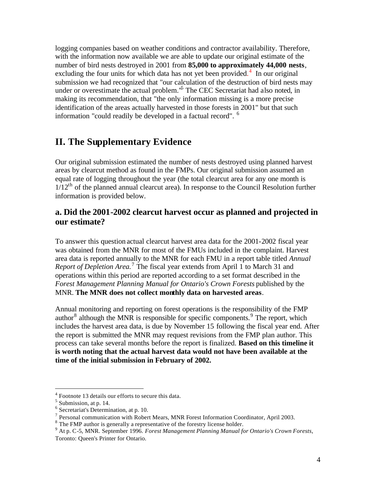logging companies based on weather conditions and contractor availability. Therefore, with the information now available we are able to update our original estimate of the number of bird nests destroyed in 2001 from **85,000 to approximately 44,000 nests**, excluding the four units for which data has not yet been provided.<sup>4</sup> In our original submission we had recognized that "our calculation of the destruction of bird nests may under or overestimate the actual problem.<sup>'5</sup> The CEC Secretariat had also noted, in making its recommendation, that "the only information missing is a more precise identification of the areas actually harvested in those forests in 2001" but that such information "could readily be developed in a factual record". <sup>6</sup>

## **II. The Supplementary Evidence**

Our original submission estimated the number of nests destroyed using planned harvest areas by clearcut method as found in the FMPs. Our original submission assumed an equal rate of logging throughout the year (the total clearcut area for any one month is  $1/12<sup>th</sup>$  of the planned annual clearcut area). In response to the Council Resolution further information is provided below.

### **a. Did the 2001-2002 clearcut harvest occur as planned and projected in our estimate?**

To answer this question actual clearcut harvest area data for the 2001-2002 fiscal year was obtained from the MNR for most of the FMUs included in the complaint. Harvest area data is reported annually to the MNR for each FMU in a report table titled *Annual Report of Depletion Area.* 7 The fiscal year extends from April 1 to March 31 and operations within this period are reported according to a set format described in the *Forest Management Planning Manual for Ontario's Crown Forests* published by the MNR. **The MNR does not collect monthly data on harvested areas**.

Annual monitoring and reporting on forest operations is the responsibility of the FMP author $8$  although the MNR is responsible for specific components.  $9$  The report, which includes the harvest area data, is due by November 15 following the fiscal year end. After the report is submitted the MNR may request revisions from the FMP plan author. This process can take several months before the report is finalized. **Based on this timeline it is worth noting that the actual harvest data would not have been available at the time of the initial submission in February of 2002.** 

<sup>&</sup>lt;sup>4</sup> Footnote 13 details our efforts to secure this data.

<sup>&</sup>lt;sup>5</sup> Submission, at p. 14.

<sup>6</sup> Secretariat's Determination, at p. 10.

 $7$  Personal communication with Robert Mears, MNR Forest Information Coordinator, April 2003.

 $8$  The FMP author is generally a representative of the forestry license holder.

<sup>9</sup> At p. C-5, MNR. September 1996. *Forest Management Planning Manual for Ontario's Crown Forests*, Toronto: Queen's Printer for Ontario.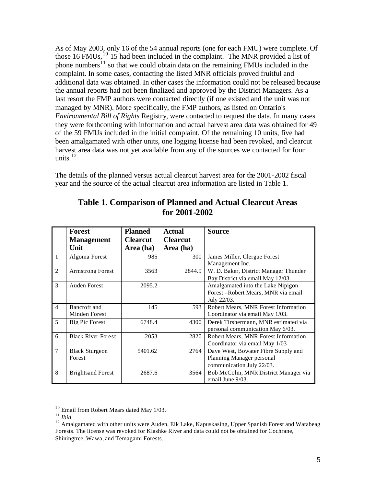As of May 2003, only 16 of the 54 annual reports (one for each FMU) were complete. Of those 16 FMUs,  $^{10}$  15 had been included in the complaint. The MNR provided a list of phone numbers<sup>11</sup> so that we could obtain data on the remaining FMUs included in the complaint. In some cases, contacting the listed MNR officials proved fruitful and additional data was obtained. In other cases the information could not be released because the annual reports had not been finalized and approved by the District Managers. As a last resort the FMP authors were contacted directly (if one existed and the unit was not managed by MNR). More specifically, the FMP authors, as listed on Ontario's *Environmental Bill of Rights* Registry, were contacted to request the data. In many cases they were forthcoming with information and actual harvest area data was obtained for 49 of the 59 FMUs included in the initial complaint. Of the remaining 10 units, five had been amalgamated with other units, one logging license had been revoked, and clearcut harvest area data was not yet available from any of the sources we contacted for four units. $12$ 

The details of the planned versus actual clearcut harvest area for the 2001-2002 fiscal year and the source of the actual clearcut area information are listed in Table 1.

|                | <b>Forest</b>             | <b>Planned</b>  | Actual          | <b>Source</b>                         |
|----------------|---------------------------|-----------------|-----------------|---------------------------------------|
|                | <b>Management</b>         | <b>Clearcut</b> | <b>Clearcut</b> |                                       |
|                | Unit                      | Area (ha)       | Area (ha)       |                                       |
| 1              | Algoma Forest             | 985             | 300             | James Miller, Clergue Forest          |
|                |                           |                 |                 | Management Inc.                       |
| $\overline{2}$ | <b>Armstrong Forest</b>   | 3563            | 2844.9          | W. D. Baker, District Manager Thunder |
|                |                           |                 |                 | Bay District via email May 12/03.     |
| 3              | Auden Forest              | 2095.2          |                 | Amalgamated into the Lake Nipigon     |
|                |                           |                 |                 | Forest - Robert Mears, MNR via email  |
|                |                           |                 |                 | July 22/03.                           |
| $\overline{4}$ | Bancroft and              | 145             | 593             | Robert Mears, MNR Forest Information  |
|                | Minden Forest             |                 |                 | Coordinator via email May 1/03.       |
| 5              | Big Pic Forest            | 6748.4          | 4300            | Derek Tirshermann, MNR estimated via  |
|                |                           |                 |                 | personal communication May 6/03.      |
| 6              | <b>Black River Forest</b> | 2053            | 2820            | Robert Mears, MNR Forest Information  |
|                |                           |                 |                 | Coordinator via email May 1/03        |
| 7              | <b>Black Sturgeon</b>     | 5401.62         | 2764            | Dave West, Bowater Fibre Supply and   |
|                | Forest                    |                 |                 | Planning Manager personal             |
|                |                           |                 |                 | communication July 22/03.             |
| 8              | <b>Brightsand Forest</b>  | 2687.6          | 3564            | Bob McColm, MNR District Manager via  |
|                |                           |                 |                 | email June 9/03.                      |

### **Table 1. Comparison of Planned and Actual Clearcut Areas for 2001-2002**

 $10$  Email from Robert Mears dated May 1/03.

<sup>11</sup> *Ibid*

<sup>&</sup>lt;sup>12</sup> Amalgamated with other units were Auden, Elk Lake, Kapuskasing, Upper Spanish Forest and Watabeag Forests. The license was revoked for Kiashke River and data could not be obtained for Cochrane, Shiningtree, Wawa, and Temagami Forests.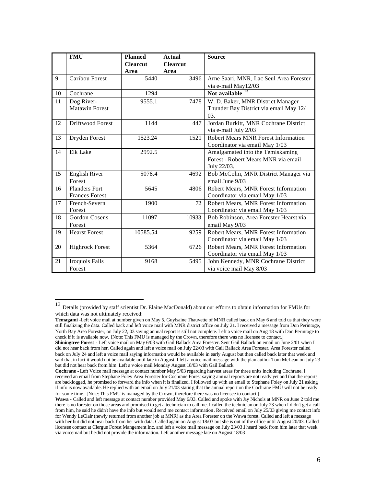|    | <b>FMU</b>             | <b>Planned</b><br><b>Clearcut</b> | <b>Actual</b><br><b>Clearcut</b> | <b>Source</b>                              |
|----|------------------------|-----------------------------------|----------------------------------|--------------------------------------------|
|    |                        | Area                              | Area                             |                                            |
| 9  | Caribou Forest         | 5440                              | 3496                             | Arne Saari, MNR, Lac Seul Area Forester    |
|    |                        |                                   |                                  | via e-mail May12/03                        |
| 10 | Cochrane               | 1294                              |                                  | Not available                              |
| 11 | Dog River-             | 9555.1                            | 7478                             | W. D. Baker, MNR District Manager          |
|    | <b>Matawin Forest</b>  |                                   |                                  | Thunder Bay District via email May 12/     |
|    |                        |                                   |                                  | 03.                                        |
| 12 | Driftwood Forest       | 1144                              | 447                              | Jordan Burkitt, MNR Cochrane District      |
|    |                        |                                   |                                  | via e-mail July 2/03                       |
| 13 | Dryden Forest          | 1523.24                           | 1521                             | <b>Robert Mears MNR Forest Information</b> |
|    |                        |                                   |                                  | Coordinator via email May 1/03             |
| 14 | Elk Lake               | 2992.5                            |                                  | Amalgamated into the Temiskaming           |
|    |                        |                                   |                                  | Forest - Robert Mears MNR via email        |
|    |                        |                                   |                                  | July 22/03.                                |
| 15 | <b>English River</b>   | 5078.4                            | 4692                             | Bob McColm, MNR District Manager via       |
|    | Forest                 |                                   |                                  | email June 9/03                            |
| 16 | <b>Flanders Fort</b>   | 5645                              | 4806                             | Robert Mears, MNR Forest Information       |
|    | <b>Frances Forest</b>  |                                   |                                  | Coordinator via email May 1/03             |
| 17 | French-Severn          | 1900                              | 72                               | Robert Mears, MNR Forest Information       |
|    | Forest                 |                                   |                                  | Coordinator via email May 1/03             |
| 18 | <b>Gordon Cosens</b>   | 11097                             | 10933                            | Bob Robinson, Area Forester Hearst via     |
|    | Forest                 |                                   |                                  | email May 9/03                             |
| 19 | <b>Hearst Forest</b>   | 10585.54                          | 9259                             | Robert Mears, MNR Forest Information       |
|    |                        |                                   |                                  | Coordinator via email May 1/03             |
| 20 | <b>Highrock Forest</b> | 5364                              | 6726                             | Robert Mears, MNR Forest Information       |
|    |                        |                                   |                                  | Coordinator via email May 1/03             |
| 21 | Iroquois Falls         | 9168                              | 5495                             | John Kennedy, MNR Cochrane District        |
|    | Forest                 |                                   |                                  | via voice mail May 8/03                    |

<sup>&</sup>lt;sup>13</sup> Details (provided by staff scientist Dr. Elaine MacDonald) about our efforts to obtain information for FMUs for which data was not ultimately received:

**Temagami** -Left voice mail at number given on May 5. Guylsaine Thauvette of MNR called back on May 6 and told us that they were still finalizing the data. Called back and left voice mail with MNR district office on July 21. I received a message from Don Perintoge, North Bay Area Forester, on July 22, 03 saying annual report is still not complete. Left a voice mail on Aug 18 with Don Perintoge to check if it is available now. [Note: This FMU is managed by the Crown, therefore there was no licensee to contact.]

**Shiningtree Forest** - Left voice mail on May 6/03 with Gail Ballack Area Forester. Sent Gail Ballack an email on June 2/01 when I did not hear back from her. Called again and left a voice mail on July 22/03 with Gail Ballack Area Forester. Area Forester called back on July 24 and left a voice mail saying information would be available in early August but then called back later that week and said that in fact it would not be available until late in August. I left a voice mail message with the plan author Tom McLean on July 23 but did not hear back from him. Left a voice mail Monday August 18/03 with Gail Ballack

**Cochrane** - Left Voice mail message at contact number May 5/03 regarding harvest areas for three units including Cochrane. I received an email from Stephane Foley Area Forester for Cochrane Forest saying annual reports are not ready yet and that the reports are backlogged, he promised to forward the info when it is finalized. I followed up with an email to Stephane Foley on July 21 asking if info is now available. He replied with an email on July 21/03 stating that the annual report on the Cochrane FMU will not be ready for some time. [Note: This FMU is managed by the Crown, therefore there was no licensee to contact.]

**Wawa** - Called and left message at contact number provided May 6/03. Called and spoke with Jay Nichols at MNR on June 2 told me there is no forester on those areas and promised to get a technician to call me. I called the technician on July 23 when I didn't get a call from him, he said he didn't have the info but would send me contact information. Received email on July 25/03 giving me contact info for Wendy LeClair (newly returned from another job at MNR) as the Area Forester on the Wawa forest. Called and left a message with her but did not hear back from her with data. Called again on August 18/03 but she is out of the office until August 20/03. Called licensee contact at Clergue Forest Mangement Inc. and left a voice mail message on July 23/03.I heard back from him later that week via voicemail but he did not provide the information. Left another message late on August 18/03.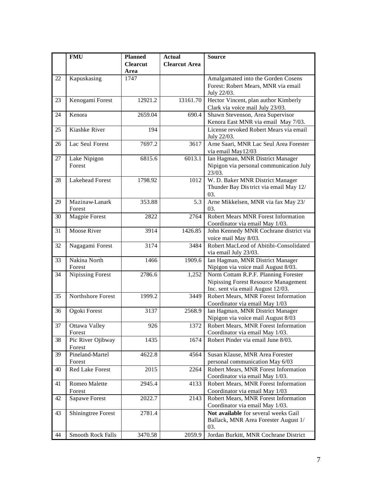|    | <b>FMU</b>                | <b>Planned</b>          | <b>Actual</b>        | <b>Source</b>                                                                 |
|----|---------------------------|-------------------------|----------------------|-------------------------------------------------------------------------------|
|    |                           | <b>Clearcut</b><br>Area | <b>Clearcut Area</b> |                                                                               |
| 22 | Kapuskasing               | 1747                    |                      | Amalgamated into the Gorden Cosens                                            |
|    |                           |                         |                      | Forest: Robert Mears, MNR via email<br>July 22/03.                            |
| 23 | Kenogami Forest           | 12921.2                 | 13161.70             | Hector Vincent, plan author Kimberly                                          |
|    |                           |                         |                      | Clark via voice mail July 23/03.                                              |
| 24 | Kenora                    | 2659.04                 | 690.4                | Shawn Stevenson, Area Supervisor                                              |
|    | Kiashke River             |                         |                      | Kenora East MNR via email May 7/03.<br>License revoked Robert Mears via email |
| 25 |                           | 194                     |                      | July 22/03.                                                                   |
| 26 | Lac Seul Forest           | 7697.2                  | 3617                 | Arne Saari, MNR Lac Seul Area Forester                                        |
|    |                           |                         |                      | via email May12/03                                                            |
| 27 | Lake Nipigon              | 6815.6                  | 6013.1               | Ian Hagman, MNR District Manager                                              |
|    | Forest                    |                         |                      | Nipigon via personal communication July                                       |
|    |                           |                         |                      | 23/03.                                                                        |
| 28 | <b>Lakehead Forest</b>    | 1798.92                 | 1012                 | W. D. Baker MNR District Manager                                              |
|    |                           |                         |                      | Thunder Bay District via email May 12/                                        |
|    |                           |                         |                      | 03.                                                                           |
| 29 | Mazinaw-Lanark<br>Forest  | 353.88                  | 5.3                  | Arne Mikkelsen, MNR via fax May 23/<br>03.                                    |
| 30 | <b>Magpie Forest</b>      | 2822                    | 2764                 | Robert Mears MNR Forest Information                                           |
|    |                           |                         |                      | Coordinator via email May 1/03.                                               |
| 31 | Moose River               | 3914                    | 1426.85              | John Kennedy MNR Cochrane district via                                        |
|    |                           |                         |                      | voice mail May 8/03.                                                          |
| 32 | Nagagami Forest           | 3174                    | 3484                 | Robert MacLeod of Abitibi-Consolidated                                        |
|    |                           |                         |                      | via email July 23/03.                                                         |
| 33 | Nakina North              | 1466                    | 1909.6               | Ian Hagman, MNR District Manager                                              |
|    | Forest                    |                         |                      | Nipigon via voice mail August 8/03.                                           |
| 34 | <b>Nipissing Forest</b>   | 2786.6                  | 1,252                | Norm Cottam R.P.F. Planning Forester                                          |
|    |                           |                         |                      | Nipissing Forest Resource Management                                          |
| 35 | Northshore Forest         | 1999.2                  | 3449                 | Inc. sent via email August 12/03.<br>Robert Mears, MNR Forest Information     |
|    |                           |                         |                      | Coordinator via email May 1/03                                                |
| 36 | Ogoki Forest              | 3137                    | 2568.9               | Ian Hagman, MNR District Manager                                              |
|    |                           |                         |                      | Nipigon via voice mail August 8/03                                            |
| 37 | Ottawa Valley             | 926                     | 1372                 | Robert Mears, MNR Forest Information                                          |
|    | Forest                    |                         |                      | Coordinator via email May 1/03.                                               |
| 38 | Pic River Ojibway         | 1435                    | 1674                 | Robert Pinder via email June 8/03.                                            |
|    | Forest                    |                         |                      |                                                                               |
| 39 | Pineland-Martel<br>Forest | 4622.8                  | 4564                 | Susan Klause, MNR Area Forester<br>personal communication May 6/03            |
| 40 | Red Lake Forest           | 2015                    | 2264                 | Robert Mears, MNR Forest Information                                          |
|    |                           |                         |                      | Coordinator via email May 1/03.                                               |
| 41 | Romeo Malette             | 2945.4                  | 4133                 | Robert Mears, MNR Forest Information                                          |
|    | Forest                    |                         |                      | Coordinator via email May 1/03                                                |
| 42 | Sapawe Forest             | 2022.7                  | 2143                 | Robert Mears, MNR Forest Information                                          |
|    |                           |                         |                      | Coordinator via email May 1/03.                                               |
| 43 | Shiningtree Forest        | 2781.4                  |                      | Not available for several weeks Gail                                          |
|    |                           |                         |                      | Ballack, MNR Area Forester August 1/                                          |
|    |                           |                         |                      | 03.                                                                           |
| 44 | Smooth Rock Falls         | 3470.58                 | 2059.9               | Jordan Burkitt, MNR Cochrane District                                         |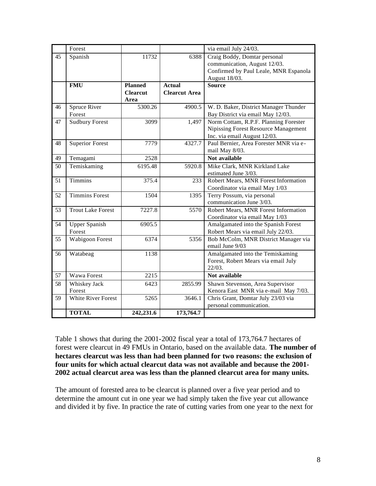|    | Forest                    |                 |                      | via email July 24/03.                  |  |
|----|---------------------------|-----------------|----------------------|----------------------------------------|--|
| 45 | Spanish                   | 11732           | 6388                 | Craig Boddy, Domtar personal           |  |
|    |                           |                 |                      | communication, August 12/03.           |  |
|    |                           |                 |                      | Confirmed by Paul Leale, MNR Espanola  |  |
|    |                           |                 |                      | August 18/03.                          |  |
|    | <b>FMU</b>                | <b>Planned</b>  | <b>Actual</b>        | <b>Source</b>                          |  |
|    |                           | <b>Clearcut</b> | <b>Clearcut Area</b> |                                        |  |
|    |                           | Area            |                      |                                        |  |
| 46 | Spruce River              | 5300.26         | 4900.5               | W. D. Baker, District Manager Thunder  |  |
|    | Forest                    |                 |                      | Bay District via email May 12/03.      |  |
| 47 | Sudbury Forest            | 3099            | 1,497                | Norm Cottam, R.P.F. Planning Forester  |  |
|    |                           |                 |                      | Nipissing Forest Resource Management   |  |
|    |                           |                 |                      | Inc. via email August 12/03.           |  |
| 48 | <b>Superior Forest</b>    | 7779            | 4327.7               | Paul Bernier, Area Forester MNR via e- |  |
|    |                           |                 |                      | mail May 8/03.                         |  |
| 49 | Temagami                  | 2528            |                      | Not available                          |  |
| 50 | Temiskaming               | 6195.48         | 5920.8               | Mike Clark, MNR Kirkland Lake          |  |
|    |                           |                 |                      | estimated June 3/03.                   |  |
| 51 | <b>Timmins</b>            | 375.4           | 233                  | Robert Mears, MNR Forest Information   |  |
|    |                           |                 |                      | Coordinator via email May 1/03         |  |
| 52 | <b>Timmins Forest</b>     | 1504            | 1395                 | Terry Possum, via personal             |  |
|    |                           |                 |                      | communication June 3/03.               |  |
| 53 | <b>Trout Lake Forest</b>  | 7227.8          | 5570                 | Robert Mears, MNR Forest Information   |  |
|    |                           |                 |                      | Coordinator via email May 1/03         |  |
| 54 | <b>Upper Spanish</b>      | 6905.5          |                      | Amalgamated into the Spanish Forest    |  |
|    | Forest                    |                 |                      | Robert Mears via email July 22/03.     |  |
| 55 | Wabigoon Forest           | 6374            | 5356                 | Bob McColm, MNR District Manager via   |  |
|    |                           |                 |                      | email June 9/03                        |  |
| 56 | Watabeag                  | 1138            |                      | Amalgamated into the Temiskaming       |  |
|    |                           |                 |                      | Forest, Robert Mears via email July    |  |
|    |                           |                 |                      | $22/03$ .                              |  |
| 57 | Wawa Forest               | 2215            |                      | Not available                          |  |
| 58 | Whiskey Jack              | 6423            | 2855.99              | Shawn Stevenson, Area Supervisor       |  |
|    | Forest                    |                 |                      | Kenora East MNR via e-mail May 7/03.   |  |
| 59 | <b>White River Forest</b> | 5265            | 3646.1               | Chris Grant, Domtar July 23/03 via     |  |
|    |                           |                 |                      | personal communication.                |  |
|    | <b>TOTAL</b>              | 242,231.6       | 173,764.7            |                                        |  |

Table 1 shows that during the 2001-2002 fiscal year a total of 173,764.7 hectares of forest were clearcut in 49 FMUs in Ontario, based on the available data. **The number of hectares clearcut was less than had been planned for two reasons: the exclusion of four units for which actual clearcut data was not available and because the 2001- 2002 actual clearcut area was less than the planned clearcut area for many units.**

The amount of forested area to be clearcut is planned over a five year period and to determine the amount cut in one year we had simply taken the five year cut allowance and divided it by five. In practice the rate of cutting varies from one year to the next for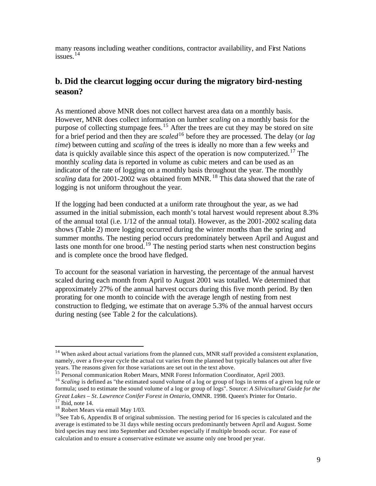many reasons including weather conditions, contractor availability, and First Nations issues. $14$ 

### **b. Did the clearcut logging occur during the migratory bird-nesting season?**

As mentioned above MNR does not collect harvest area data on a monthly basis. However, MNR does collect information on lumber *scaling* on a monthly basis for the purpose of collecting stumpage fees.<sup>15</sup> After the trees are cut they may be stored on site for a brief period and then they are *scaled*<sup>16</sup> before they are processed. The delay (or *lag time*) between cutting and *scaling* of the trees is ideally no more than a few weeks and data is quickly available since this aspect of the operation is now computerized.<sup>17</sup> The monthly *scaling* data is reported in volume as cubic meters and can be used as an indicator of the rate of logging on a monthly basis throughout the year. The monthly *scaling* data for 2001-2002 was obtained from MNR.<sup>18</sup> This data showed that the rate of logging is not uniform throughout the year.

If the logging had been conducted at a uniform rate throughout the year, as we had assumed in the initial submission, each month's total harvest would represent about 8.3% of the annual total (i.e. 1/12 of the annual total). However, as the 2001-2002 scaling data shows (Table 2) more logging occurred during the winter months than the spring and summer months. The nesting period occurs predominately between April and August and lasts one month for one brood.<sup>19</sup> The nesting period starts when nest construction begins and is complete once the brood have fledged.

To account for the seasonal variation in harvesting, the percentage of the annual harvest scaled during each month from April to August 2001 was totalled. We determined that approximately 27% of the annual harvest occurs during this five month period. By then prorating for one month to coincide with the average length of nesting from nest construction to fledging, we estimate that on average 5.3% of the annual harvest occurs during nesting (see Table 2 for the calculations).

<sup>&</sup>lt;sup>14</sup> When asked about actual variations from the planned cuts, MNR staff provided a consistent explanation, namely, over a five-year cycle the actual cut varies from the planned but typically balances out after five years. The reasons given for those variations are set out in the text above.

<sup>&</sup>lt;sup>15</sup> Personal communication Robert Mears, MNR Forest Information Coordinator, April 2003.

<sup>&</sup>lt;sup>16</sup> *Scaling* is defined as "the estimated sound volume of a log or group of logs in terms of a given log rule or formula; used to estimate the sound volume of a log or group of logs". Source: *A Silvicultural Guide for the Great Lakes – St. Lawrence Conifer Forest in Ontario*, OMNR. 1998. Queen's Printer for Ontario.  $17$  Ibid, note 14.

<sup>&</sup>lt;sup>18</sup> Robert Mears via email May 1/03.

<sup>&</sup>lt;sup>19</sup>See Tab 6, Appendix B of original submission. The nesting period for 16 species is calculated and the average is estimated to be 31 days while nesting occurs predominantly between April and August. Some bird species may nest into September and October especially if multiple broods occur. For ease of calculation and to ensure a conservative estimate we assume only one brood per year.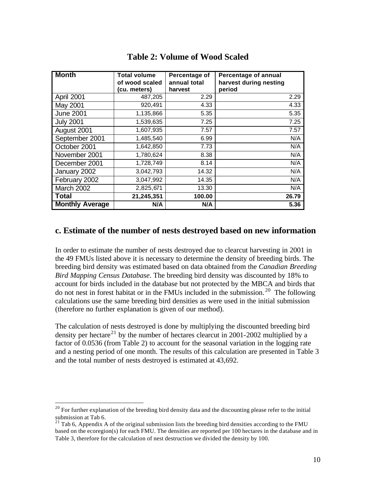| <b>Month</b>           | <b>Total volume</b> | Percentage of | <b>Percentage of annual</b> |
|------------------------|---------------------|---------------|-----------------------------|
|                        | of wood scaled      | annual total  | harvest during nesting      |
|                        | (cu. meters)        | harvest       | period                      |
| April 2001             | 487,205             | 2.29          | 2.29                        |
| May 2001               | 920,491             | 4.33          | 4.33                        |
| <b>June 2001</b>       | 1,135,866           | 5.35          | 5.35                        |
| <b>July 2001</b>       | 1,539,635           | 7.25          | 7.25                        |
| August 2001            | 1,607,935           | 7.57          | 7.57                        |
| September 2001         | 1,485,540           | 6.99          | N/A                         |
| October 2001           | 1,642,850           | 7.73          | N/A                         |
| November 2001          | 1,780,624           | 8.38          | N/A                         |
| December 2001          | 1,728,749           | 8.14          | N/A                         |
| January 2002           | 3,042,793           | 14.32         | N/A                         |
| February 2002          | 3,047,992           | 14.35         | N/A                         |
| March 2002             | 2,825,671           | 13.30         | N/A                         |
| <b>Total</b>           | 21,245,351          | 100.00        | 26.79                       |
| <b>Monthly Average</b> | N/A                 | N/A           | 5.36                        |

### **Table 2: Volume of Wood Scaled**

### **c. Estimate of the number of nests destroyed based on new information**

In order to estimate the number of nests destroyed due to clearcut harvesting in 2001 in the 49 FMUs listed above it is necessary to determine the density of breeding birds. The breeding bird density was estimated based on data obtained from the *Canadian Breeding Bird Mapping Census Database*. The breeding bird density was discounted by 18% to account for birds included in the database but not protected by the MBCA and birds that do not nest in forest habitat or in the FMUs included in the submission.<sup>20</sup> The following calculations use the same breeding bird densities as were used in the initial submission (therefore no further explanation is given of our method).

The calculation of nests destroyed is done by multiplying the discounted breeding bird density per hectare<sup>21</sup> by the number of hectares clearcut in 2001-2002 multiplied by a factor of 0.0536 (from Table 2) to account for the seasonal variation in the logging rate and a nesting period of one month. The results of this calculation are presented in Table 3 and the total number of nests destroyed is estimated at 43,692.

 $20$  For further explanation of the breeding bird density data and the discounting please refer to the initial submission at Tab 6.

 $^{21}$  Tab 6, Appendix A of the original submission lists the breeding bird densities according to the FMU based on the ecoregion(s) for each FMU. The densities are reported per 100 hectares in the database and in Table 3, therefore for the calculation of nest destruction we divided the density by 100.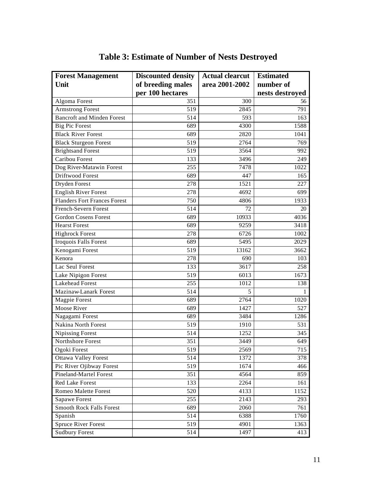| <b>Forest Management</b>            | <b>Discounted density</b> | <b>Actual clearcut</b> | <b>Estimated</b> |
|-------------------------------------|---------------------------|------------------------|------------------|
| Unit                                | of breeding males         | area 2001-2002         | number of        |
|                                     | per 100 hectares          |                        | nests destroyed  |
| Algoma Forest                       | 351                       | 300                    | 56               |
| <b>Armstrong Forest</b>             | 519                       | 2845                   | 791              |
| <b>Bancroft and Minden Forest</b>   | 514                       | 593                    | 163              |
| <b>Big Pic Forest</b>               | 689                       | 4300                   | 1588             |
| <b>Black River Forest</b>           | 689                       | 2820                   | 1041             |
| <b>Black Sturgeon Forest</b>        | 519                       | 2764                   | 769              |
| <b>Brightsand Forest</b>            | 519                       | 3564                   | 992              |
| <b>Caribou Forest</b>               | 133                       | 3496                   | 249              |
| Dog River-Matawin Forest            | 255                       | 7478                   | 1022             |
| Driftwood Forest                    | 689                       | 447                    | 165              |
| Dryden Forest                       | 278                       | 1521                   | 227              |
| <b>English River Forest</b>         | 278                       | 4692                   | 699              |
| <b>Flanders Fort Frances Forest</b> | 750                       | 4806                   | 1933             |
| French-Severn Forest                | 514                       | 72                     | 20               |
| <b>Gordon Cosens Forest</b>         | 689                       | 10933                  | 4036             |
| <b>Hearst Forest</b>                | 689                       | 9259                   | 3418             |
| <b>Highrock Forest</b>              | 278                       | 6726                   | 1002             |
| Iroquois Falls Forest               | 689                       | 5495                   | 2029             |
| Kenogami Forest                     | 519                       | 13162                  | 3662             |
| Kenora                              | 278                       | 690                    | 103              |
| Lac Seul Forest                     | 133                       | 3617                   | 258              |
| Lake Nipigon Forest                 | 519                       | 6013                   | 1673             |
| <b>Lakehead Forest</b>              | 255                       | 1012                   | 138              |
| Mazinaw-Lanark Forest               | 514                       | 5                      | 1                |
| <b>Magpie Forest</b>                | 689                       | 2764                   | 1020             |
| Moose River                         | 689                       | 1427                   | 527              |
| Nagagami Forest                     | 689                       | 3484                   | 1286             |
| Nakina North Forest                 | 519                       | 1910                   | 531              |
| <b>Nipissing Forest</b>             | 514                       | 1252                   | 345              |
| Northshore Forest                   | 351                       | 3449                   | 649              |
| Ogoki Forest                        | 519                       | 2569                   | 715              |
| <b>Ottawa Valley Forest</b>         | 514                       | 1372                   | 378              |
| Pic River Ojibway Forest            | 519                       | 1674                   | 466              |
| <b>Pineland-Martel Forest</b>       | 351                       | 4564                   | 859              |
| Red Lake Forest                     | 133                       | 2264                   | 161              |
| <b>Romeo Malette Forest</b>         | 520                       | 4133                   | 1152             |
| Sapawe Forest                       | 255                       | 2143                   | 293              |
| <b>Smooth Rock Falls Forest</b>     | 689                       | 2060                   | 761              |
| Spanish                             | 514                       | 6388                   | 1760             |
| <b>Spruce River Forest</b>          | 519                       | 4901                   | 1363             |
| <b>Sudbury Forest</b>               | 514                       | 1497                   | 413              |

# **Table 3: Estimate of Number of Nests Destroyed**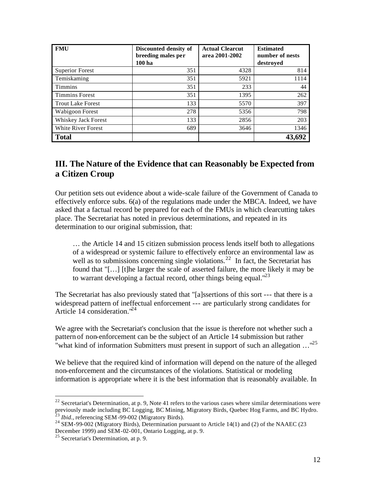| <b>FMU</b>               | Discounted density of<br>breeding males per<br>100 <sub>ha</sub> | <b>Actual Clearcut</b><br>area 2001-2002 | <b>Estimated</b><br>number of nests<br>destroved |
|--------------------------|------------------------------------------------------------------|------------------------------------------|--------------------------------------------------|
| <b>Superior Forest</b>   | 351                                                              | 4328                                     | 814                                              |
| Temiskaming              | 351                                                              | 5921                                     | 1114                                             |
| <b>Timmins</b>           | 351                                                              | 233                                      | 44                                               |
| <b>Timmins Forest</b>    | 351                                                              | 1395                                     | 262                                              |
| <b>Trout Lake Forest</b> | 133                                                              | 5570                                     | 397                                              |
| Wabigoon Forest          | 278                                                              | 5356                                     | 798                                              |
| Whiskey Jack Forest      | 133                                                              | 2856                                     | 203                                              |
| White River Forest       | 689                                                              | 3646                                     | 1346                                             |
| <b>Total</b>             |                                                                  |                                          |                                                  |

### **III. The Nature of the Evidence that can Reasonably be Expected from a Citizen Croup**

Our petition sets out evidence about a wide-scale failure of the Government of Canada to effectively enforce subs. 6(a) of the regulations made under the MBCA. Indeed, we have asked that a factual record be prepared for each of the FMUs in which clearcutting takes place. The Secretariat has noted in previous determinations, and repeated in its determination to our original submission, that:

… the Article 14 and 15 citizen submission process lends itself both to allegations of a widespread or systemic failure to effectively enforce an environmental law as well as to submissions concerning single violations.<sup>22</sup> In fact, the Secretariat has found that "[…] [t]he larger the scale of asserted failure, the more likely it may be to warrant developing a factual record, other things being equal. $123$ 

The Secretariat has also previously stated that "[a]ssertions of this sort --- that there is a widespread pattern of ineffectual enforcement --- are particularly strong candidates for Article 14 consideration."<sup>24</sup>

We agree with the Secretariat's conclusion that the issue is therefore not whether such a pattern of non-enforcement can be the subject of an Article 14 submission but rather "what kind of information Submitters must present in support of such an allegation …"<sup>25</sup>

We believe that the required kind of information will depend on the nature of the alleged non-enforcement and the circumstances of the violations. Statistical or modeling information is appropriate where it is the best information that is reasonably available. In

 $22$  Secretariat's Determination, at p. 9, Note 41 refers to the various cases where similar determinations were previously made including BC Logging, BC Mining, Migratory Birds, Quebec Hog Farms, and BC Hydro. <sup>23</sup> *Ibid.,* referencing SEM -99-002 (Migratory Birds).

 $24$  SEM-99-002 (Migratory Birds), Determination pursuant to Article 14(1) and (2) of the NAAEC (23 December 1999) and SEM-02-001, Ontario Logging, at p. 9.

<sup>25</sup> Secretariat's Determination, at p. 9.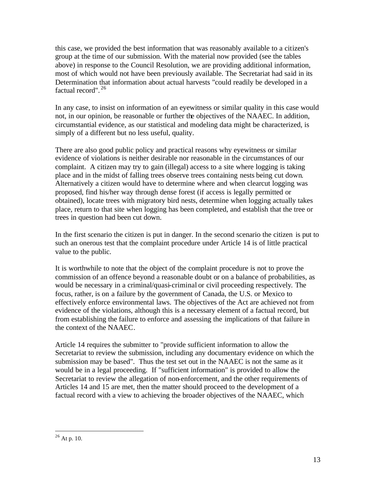this case, we provided the best information that was reasonably available to a citizen's group at the time of our submission. With the material now provided (see the tables above) in response to the Council Resolution, we are providing additional information, most of which would not have been previously available. The Secretariat had said in its Determination that information about actual harvests "could readily be developed in a factual record". <sup>26</sup>

In any case, to insist on information of an eyewitness or similar quality in this case would not, in our opinion, be reasonable or further the objectives of the NAAEC. In addition, circumstantial evidence, as our statistical and modeling data might be characterized, is simply of a different but no less useful, quality.

There are also good public policy and practical reasons why eyewitness or similar evidence of violations is neither desirable nor reasonable in the circumstances of our complaint. A citizen may try to gain (illegal) access to a site where logging is taking place and in the midst of falling trees observe trees containing nests being cut down. Alternatively a citizen would have to determine where and when clearcut logging was proposed, find his/her way through dense forest (if access is legally permitted or obtained), locate trees with migratory bird nests, determine when logging actually takes place, return to that site when logging has been completed, and establish that the tree or trees in question had been cut down.

In the first scenario the citizen is put in danger. In the second scenario the citizen is put to such an onerous test that the complaint procedure under Article 14 is of little practical value to the public.

It is worthwhile to note that the object of the complaint procedure is not to prove the commission of an offence beyond a reasonable doubt or on a balance of probabilities, as would be necessary in a criminal/quasi-criminal or civil proceeding respectively. The focus, rather, is on a failure by the government of Canada, the U.S. or Mexico to effectively enforce environmental laws. The objectives of the Act are achieved not from evidence of the violations, although this is a necessary element of a factual record, but from establishing the failure to enforce and assessing the implications of that failure in the context of the NAAEC.

Article 14 requires the submitter to "provide sufficient information to allow the Secretariat to review the submission, including any documentary evidence on which the submission may be based". Thus the test set out in the NAAEC is not the same as it would be in a legal proceeding. If "sufficient information" is provided to allow the Secretariat to review the allegation of non-enforcement, and the other requirements of Articles 14 and 15 are met, then the matter should proceed to the development of a factual record with a view to achieving the broader objectives of the NAAEC, which

 $\overline{a}$  $26$  At p. 10.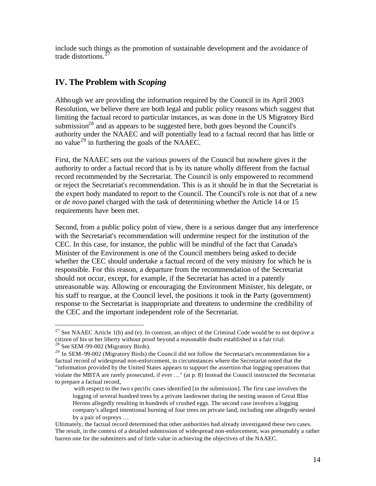include such things as the promotion of sustainable development and the avoidance of trade distortions.<sup>27</sup>

## **IV. The Problem with** *Scoping*

 $\overline{a}$ 

Although we are providing the information required by the Council in its April 2003 Resolution, we believe there are both legal and public policy reasons which suggest that limiting the factual record to particular instances, as was done in the US Migratory Bird submission<sup>28</sup> and as appears to be suggested here, both goes beyond the Council's authority under the NAAEC and will potentially lead to a factual record that has little or no value<sup>29</sup> in furthering the goals of the NAAEC.

First, the NAAEC sets out the various powers of the Council but nowhere gives it the authority to order a factual record that is by its nature wholly different from the factual record recommended by the Secretariat. The Council is only empowered to recommend or reject the Secretariat's recommendation. This is as it should be in that the Secretariat is the expert body mandated to report to the Council. The Council's role is not that of a new or *de novo* panel charged with the task of determining whether the Article 14 or 15 requirements have been met.

Second, from a public policy point of view, there is a serious danger that any interference with the Secretariat's recommendation will undermine respect for the institution of the CEC. In this case, for instance, the public will be mindful of the fact that Canada's Minister of the Environment is one of the Council members being asked to decide whether the CEC should undertake a factual record of the very ministry for which he is responsible. For this reason, a departure from the recommendation of the Secretariat should not occur, except, for example, if the Secretariat has acted in a patently unreasonable way. Allowing or encouraging the Environment Minister, his delegate, or his staff to reargue, at the Council level, the positions it took in the Party (government) response to the Secretariat is inappropriate and threatens to undermine the credibility of the CEC and the important independent role of the Secretariat.

<sup>&</sup>lt;sup>27</sup> See NAAEC Article 1(b) and (e). In contrast, an object of the Criminal Code would be to not deprive a citizen of his or her liberty without proof beyond a reasonable doubt established in a fair trial.  $28$  See SEM-99-002 (Migratory Birds).

<sup>&</sup>lt;sup>29</sup> In SEM -99-002 (Migratory Birds) the Council did not follow the Secretariat's recommendation for a factual record of widespread non-enforcement, in circumstances where the Secretariat noted that the "information provided by the United States appears to support the assertion that logging operations that violate the MBTA are rarely prosecuted, if ever …" (at p. 8) Instead the Council instructed the Secretariat to prepare a factual record,

with respect to the two s pecific cases identified [in the submission]. The first case involves the logging of several hundred trees by a private landowner during the nesting season of Great Blue Herons allegedly resulting in hundreds of crushed eggs. The second case involves a logging company's alleged intentional burning of four trees on private land, including one allegedly nested by a pair of ospreys …

Ultimately, the factual record determined that other authorities had already investigated these two cases. The result, in the context of a detailed submission of widespread non-enforcement, was presumably a rather barren one for the submitters and of little value in achieving the objectives of the NAAEC.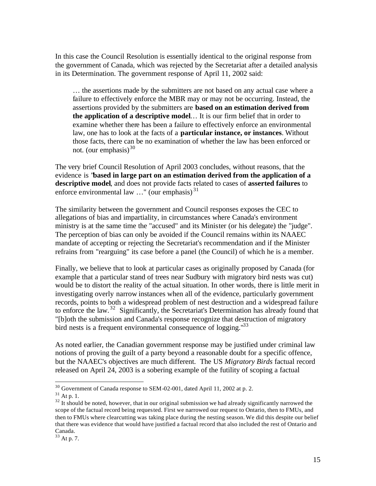In this case the Council Resolution is essentially identical to the original response from the government of Canada, which was rejected by the Secretariat after a detailed analysis in its Determination. The government response of April 11, 2002 said:

… the assertions made by the submitters are not based on any actual case where a failure to effectively enforce the MBR may or may not be occurring. Instead, the assertions provided by the submitters are **based on an estimation derived from the application of a descriptive model**… It is our firm belief that in order to examine whether there has been a failure to effectively enforce an environmental law, one has to look at the facts of a **particular instance, or instances**. Without those facts, there can be no examination of whether the law has been enforced or not. (our emphasis) $30$ 

The very brief Council Resolution of April 2003 concludes, without reasons, that the evidence is "**based in large part on an estimation derived from the application of a descriptive model**, and does not provide facts related to cases of **asserted failures** to enforce environmental law  $\ldots$ " (our emphasis)<sup>31</sup>

The similarity between the government and Council responses exposes the CEC to allegations of bias and impartiality, in circumstances where Canada's environment ministry is at the same time the "accused" and its Minister (or his delegate) the "judge". The perception of bias can only be avoided if the Council remains within its NAAEC mandate of accepting or rejecting the Secretariat's recommendation and if the Minister refrains from "rearguing" its case before a panel (the Council) of which he is a member.

Finally, we believe that to look at particular cases as originally proposed by Canada (for example that a particular stand of trees near Sudbury with migratory bird nests was cut) would be to distort the reality of the actual situation. In other words, there is little merit in investigating overly narrow instances when all of the evidence, particularly government records, points to both a widespread problem of nest destruction and a widespread failure to enforce the law.<sup>32</sup> Significantly, the Secretariat's Determination has already found that "[b]oth the submission and Canada's response recognize that destruction of migratory bird nests is a frequent environmental consequence of logging."<sup>33</sup>

As noted earlier, the Canadian government response may be justified under criminal law notions of proving the guilt of a party beyond a reasonable doubt for a specific offence, but the NAAEC's objectives are much different. The US *Migratory Birds* factual record released on April 24, 2003 is a sobering example of the futility of scoping a factual

 $\overline{a}$ 

<sup>33</sup> At p. 7.

 $30$  Government of Canada response to SEM-02-001, dated April 11, 2002 at p. 2.

 $31$  At p. 1.

 $32$  It should be noted, however, that in our original submission we had already significantly narrowed the scope of the factual record being requested. First we narrowed our request to Ontario, then to FMUs, and then to FMUs where clearcutting was taking place during the nesting season. We did this despite our belief that there was evidence that would have justified a factual record that also included the rest of Ontario and Canada.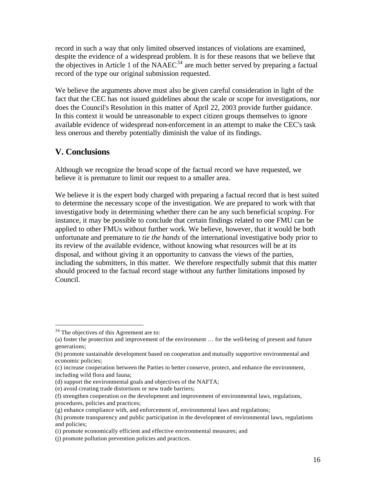record in such a way that only limited observed instances of violations are examined, despite the evidence of a widespread problem. It is for these reasons that we believe that the objectives in Article 1 of the  $NAAEC<sup>34</sup>$  are much better served by preparing a factual record of the type our original submission requested.

We believe the arguments above must also be given careful consideration in light of the fact that the CEC has not issued guidelines about the scale or scope for investigations, nor does the Council's Resolution in this matter of April 22, 2003 provide further guidance. In this context it would be unreasonable to expect citizen groups themselves to ignore available evidence of widespread non-enforcement in an attempt to make the CEC's task less onerous and thereby potentially diminish the value of its findings.

### **V. Conclusions**

Although we recognize the broad scope of the factual record we have requested, we believe it is premature to limit our request to a smaller area.

We believe it is the expert body charged with preparing a factual record that is best suited to determine the necessary scope of the investigation. We are prepared to work with that investigative body in determining whether there can be any such beneficial *scoping*. For instance, it may be possible to conclude that certain findings related to one FMU can be applied to other FMUs without further work. We believe, however, that it would be both unfortunate and premature to *tie the hands* of the international investigative body prior to its review of the available evidence, without knowing what resources will be at its disposal, and without giving it an opportunity to canvass the views of the parties, including the submitters, in this matter. We therefore respectfully submit that this matter should proceed to the factual record stage without any further limitations imposed by Council.

<sup>&</sup>lt;sup>34</sup> The objectives of this Agreement are to:

<sup>(</sup>a) foster the protection and improvement of the environment … for the well-being of present and future generations;

<sup>(</sup>b) promote sustainable development based on cooperation and mutually supportive environmental and economic policies;

<sup>(</sup>c) increase cooperation between the Parties to better conserve, protect, and enhance the environment, including wild flora and fauna;

<sup>(</sup>d) support the environmental goals and objectives of the NAFTA;

<sup>(</sup>e) avoid creating trade distortions or new trade barriers;

<sup>(</sup>f) strengthen cooperation on the development and improvement of environmental laws, regulations,

procedures, policies and practices;

<sup>(</sup>g) enhance compliance with, and enforcement of, environmental laws and regulations;

<sup>(</sup>h) promote transparency and public participation in the development of environmental laws, regulations and policies;

<sup>(</sup>i) promote economically efficient and effective environmental measures; and

<sup>(</sup>j) promote pollution prevention policies and practices.